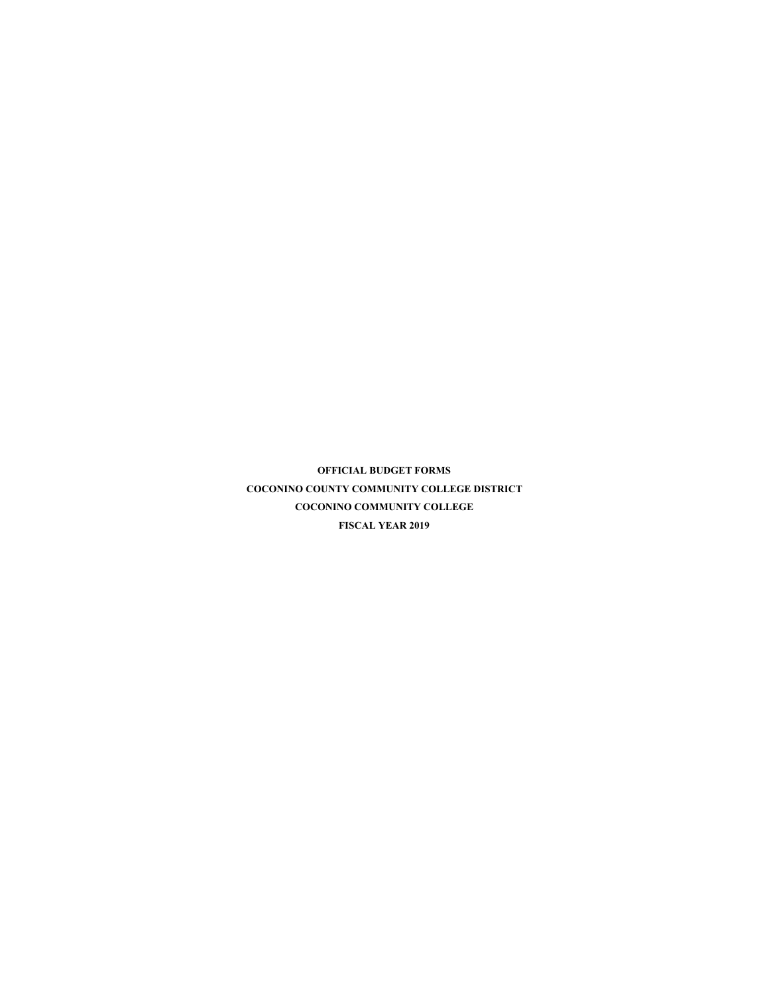**OFFICIAL BUDGET FORMS COCONINO COUNTY COMMUNITY COLLEGE DISTRICT COCONINO COMMUNITY COLLEGE FISCAL YEAR 2019**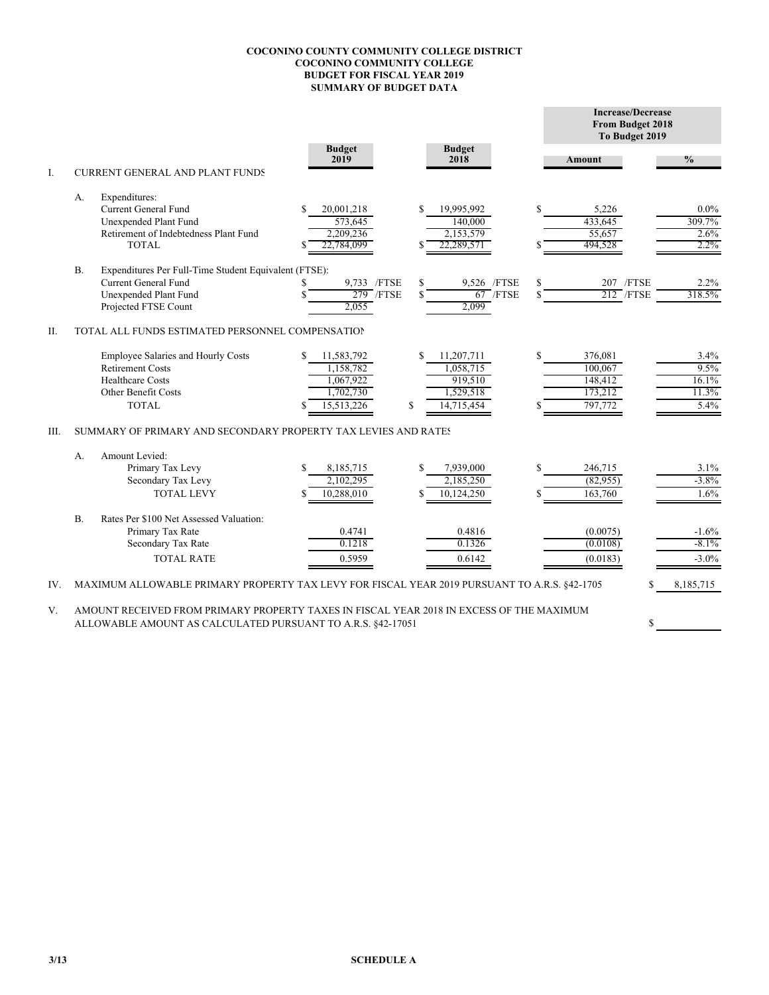## **COCONINO COUNTY COMMUNITY COLLEGE DISTRICT COCONINO COMMUNITY COLLEGE BUDGET FOR FISCAL YEAR 2019 SUMMARY OF BUDGET DATA**

|      |                                                                                                                                                         |                       |                       |        | <b>Increase/Decrease</b><br>From Budget 2018<br>To Budget 2019 |               |  |  |  |
|------|---------------------------------------------------------------------------------------------------------------------------------------------------------|-----------------------|-----------------------|--------|----------------------------------------------------------------|---------------|--|--|--|
| I.   | <b>CURRENT GENERAL AND PLANT FUNDS</b>                                                                                                                  | <b>Budget</b><br>2019 | <b>Budget</b><br>2018 | Amount |                                                                | $\frac{0}{0}$ |  |  |  |
|      | Expenditures:<br>А.                                                                                                                                     |                       |                       |        |                                                                |               |  |  |  |
|      | Current General Fund                                                                                                                                    | \$<br>20,001,218      | 19,995,992<br>\$      | \$     | 5,226                                                          | $0.0\%$       |  |  |  |
|      | Unexpended Plant Fund                                                                                                                                   | 573,645               | 140,000               |        | 433,645                                                        | 309.7%        |  |  |  |
|      | Retirement of Indebtedness Plant Fund                                                                                                                   | 2,209,236             | 2,153,579             |        | 55,657                                                         | 2.6%          |  |  |  |
|      | <b>TOTAL</b>                                                                                                                                            | 22,784,099<br>S       | 22,289,571            |        | 494,528                                                        | $2.2\%$       |  |  |  |
|      | <b>B.</b><br>Expenditures Per Full-Time Student Equivalent (FTSE):                                                                                      |                       |                       |        |                                                                |               |  |  |  |
|      | Current General Fund                                                                                                                                    | 9,733 /FTSE           | S<br>9,526 /FTSE      | \$     | 207 /FTSE                                                      | 2.2%          |  |  |  |
|      | Unexpended Plant Fund                                                                                                                                   | $279$ /FTSE           | $67$ /FTSE<br>S       | \$.    | $212$ /FTSE                                                    | 318.5%        |  |  |  |
|      | Projected FTSE Count                                                                                                                                    | 2.055                 | 2.099                 |        |                                                                |               |  |  |  |
| Π.   | TOTAL ALL FUNDS ESTIMATED PERSONNEL COMPENSATION                                                                                                        |                       |                       |        |                                                                |               |  |  |  |
|      | Employee Salaries and Hourly Costs                                                                                                                      | S.<br>11,583,792      | S<br>11,207,711       | \$     | 376,081                                                        | 3.4%          |  |  |  |
|      | <b>Retirement Costs</b>                                                                                                                                 | 1,158,782             | 1,058,715             |        | 100,067                                                        | 9.5%          |  |  |  |
|      | <b>Healthcare Costs</b>                                                                                                                                 | 1,067,922             | 919,510               |        | 148,412                                                        | 16.1%         |  |  |  |
|      | Other Benefit Costs                                                                                                                                     | 1,702,730             | 1,529,518             |        | 173,212                                                        | 11.3%         |  |  |  |
|      | <b>TOTAL</b>                                                                                                                                            | 15,513,226            | \$<br>14,715,454      |        | 797,772                                                        | 5.4%          |  |  |  |
| III. | SUMMARY OF PRIMARY AND SECONDARY PROPERTY TAX LEVIES AND RATES                                                                                          |                       |                       |        |                                                                |               |  |  |  |
|      | Amount Levied:<br>А.                                                                                                                                    |                       |                       |        |                                                                |               |  |  |  |
|      | Primary Tax Levy                                                                                                                                        | \$<br>8,185,715       | \$<br>7,939,000       | \$     | 246,715                                                        | $3.1\%$       |  |  |  |
|      | Secondary Tax Levy                                                                                                                                      | 2,102,295             | 2,185,250             |        | (82,955)                                                       | $-3.8\%$      |  |  |  |
|      | <b>TOTAL LEVY</b>                                                                                                                                       | 10,288,010            | 10,124,250            | \$     | 163,760                                                        | 1.6%          |  |  |  |
|      | <b>B.</b><br>Rates Per \$100 Net Assessed Valuation:                                                                                                    |                       |                       |        |                                                                |               |  |  |  |
|      | Primary Tax Rate                                                                                                                                        | 0.4741                | 0.4816                |        | (0.0075)                                                       | $-1.6%$       |  |  |  |
|      | Secondary Tax Rate                                                                                                                                      | 0.1218                | 0.1326                |        | (0.0108)                                                       | $-8.1%$       |  |  |  |
|      | <b>TOTAL RATE</b>                                                                                                                                       | 0.5959                | 0.6142                |        | (0.0183)                                                       | $-3.0%$       |  |  |  |
| IV.  | MAXIMUM ALLOWABLE PRIMARY PROPERTY TAX LEVY FOR FISCAL YEAR 2019 PURSUANT TO A.R.S. §42-1705                                                            |                       |                       |        | S                                                              | 8,185,715     |  |  |  |
| V.   | AMOUNT RECEIVED FROM PRIMARY PROPERTY TAXES IN FISCAL YEAR 2018 IN EXCESS OF THE MAXIMUM<br>ALLOWABLE AMOUNT AS CALCULATED PURSUANT TO A.R.S. §42-17051 |                       |                       |        | S                                                              |               |  |  |  |
|      |                                                                                                                                                         |                       |                       |        |                                                                |               |  |  |  |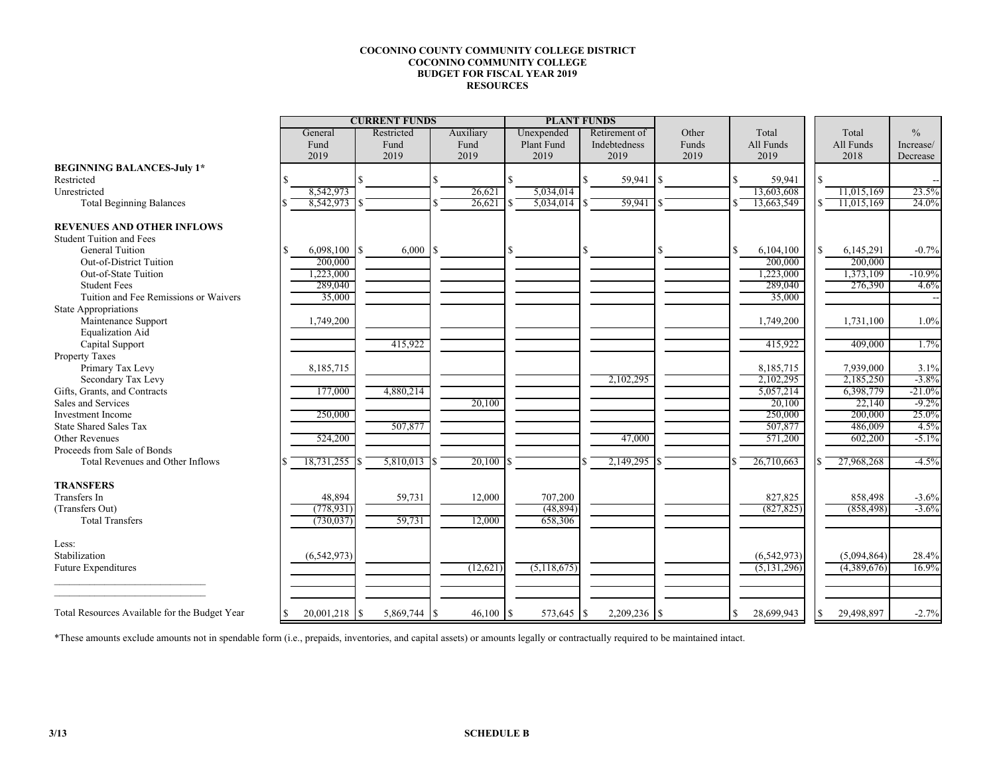## **COCONINO COUNTY COMMUNITY COLLEGE DISTRICTCOCONINO COMMUNITY COLLEGE BUDGET FOR FISCAL YEAR 2019RESOURCES**

|                                               | <b>CURRENT FUNDS</b> |             |              |                |  |           |     | <b>PLANT FUNDS</b> |               |       |    |               |   |             |               |
|-----------------------------------------------|----------------------|-------------|--------------|----------------|--|-----------|-----|--------------------|---------------|-------|----|---------------|---|-------------|---------------|
|                                               |                      | General     |              | Restricted     |  | Auxiliary |     | Unexpended         | Retirement of | Other |    | Total         |   | Total       | $\frac{0}{0}$ |
|                                               |                      | Fund        |              | Fund           |  | Fund      |     | Plant Fund         | Indebtedness  | Funds |    | All Funds     |   | All Funds   | Increase/     |
|                                               |                      | 2019        |              | 2019           |  | 2019      |     | 2019               | 2019          | 2019  |    | 2019          |   | 2018        | Decrease      |
| <b>BEGINNING BALANCES-July 1*</b>             |                      |             |              |                |  |           |     |                    |               |       |    |               |   |             |               |
| Restricted                                    |                      |             |              |                |  |           | R   |                    | 59,941        |       | S. | 59,941        |   |             |               |
| Unrestricted                                  |                      | 8,542,973   |              |                |  | 26,621    |     | 5,034,014          |               |       |    | 13,603,608    |   | 11,015,169  | 23.5%         |
| <b>Total Beginning Balances</b>               |                      | 8,542,973   |              |                |  | 26,621    |     | 5,034,014          | 59,941        |       |    | 13,663,549    |   | 11,015,169  | 24.0%         |
| <b>REVENUES AND OTHER INFLOWS</b>             |                      |             |              |                |  |           |     |                    |               |       |    |               |   |             |               |
| <b>Student Tuition and Fees</b>               |                      |             |              |                |  |           |     |                    |               |       |    |               |   |             |               |
| <b>General Tuition</b>                        |                      | 6,098,100   | <sup>S</sup> |                |  |           |     |                    |               |       | \$ | 6,104,100     | ς | 6,145,291   | $-0.7%$       |
| Out-of-District Tuition                       |                      | 200,000     |              |                |  |           |     |                    |               |       |    | 200,000       |   | 200,000     |               |
| Out-of-State Tuition                          |                      | 1,223,000   |              |                |  |           |     |                    |               |       |    | 1,223,000     |   | 1,373,109   | $-10.9\%$     |
| <b>Student Fees</b>                           |                      | 289,040     |              |                |  |           |     |                    |               |       |    | 289,040       |   | 276,390     | 4.6%          |
| Tuition and Fee Remissions or Waivers         |                      | 35,000      |              |                |  |           |     |                    |               |       |    | 35,000        |   |             |               |
| <b>State Appropriations</b>                   |                      |             |              |                |  |           |     |                    |               |       |    |               |   |             |               |
| Maintenance Support                           |                      | 1,749,200   |              |                |  |           |     |                    |               |       |    | 1,749,200     |   | 1,731,100   | 1.0%          |
| <b>Equalization Aid</b>                       |                      |             |              |                |  |           |     |                    |               |       |    |               |   |             |               |
| Capital Support                               |                      |             |              | 415,922        |  |           |     |                    |               |       |    | 415,922       |   | 409,000     | 1.7%          |
| <b>Property Taxes</b>                         |                      |             |              |                |  |           |     |                    |               |       |    |               |   |             |               |
| Primary Tax Levy                              |                      | 8,185,715   |              |                |  |           |     |                    |               |       |    | 8,185,715     |   | 7,939,000   | 3.1%          |
| Secondary Tax Levy                            |                      |             |              |                |  |           |     |                    | 2,102,295     |       |    | 2,102,295     |   | 2,185,250   | $-3.8\%$      |
| Gifts, Grants, and Contracts                  |                      | 177,000     |              | 4,880,214      |  |           |     |                    |               |       |    | 5,057,214     |   | 6,398,779   | $-21.0\%$     |
| Sales and Services                            |                      |             |              |                |  | 20,100    |     |                    |               |       |    | 20,100        |   | 22,140      | $-9.2\%$      |
| <b>Investment Income</b>                      |                      | 250,000     |              |                |  |           |     |                    |               |       |    | 250,000       |   | 200,000     | 25.0%         |
| <b>State Shared Sales Tax</b>                 |                      |             |              | 507,877        |  |           |     |                    |               |       |    | 507,877       |   | 486,009     | 4.5%          |
| Other Revenues                                |                      | 524,200     |              |                |  |           |     |                    | 47,000        |       |    | 571,200       |   | 602,200     | $-5.1\%$      |
| Proceeds from Sale of Bonds                   |                      |             |              |                |  |           |     |                    |               |       |    |               |   |             |               |
| Total Revenues and Other Inflows              |                      | 18,731,255  |              | $5,810,013$ \$ |  | 20,100    |     |                    | 2,149,295     |       |    | 26,710,663    |   | 27,968,268  | $-4.5%$       |
| <b>TRANSFERS</b>                              |                      |             |              |                |  |           |     |                    |               |       |    |               |   |             |               |
| Transfers In                                  |                      | 48,894      |              | 59,731         |  | 12,000    |     | 707,200            |               |       |    | 827,825       |   | 858,498     | $-3.6%$       |
| (Transfers Out)                               |                      | (778, 931)  |              |                |  |           |     | (48, 894)          |               |       |    | (827, 825)    |   | (858, 498)  | $-3.6\%$      |
| <b>Total Transfers</b>                        |                      | (730, 037)  |              | 59,731         |  | 12,000    |     | 658,306            |               |       |    |               |   |             |               |
| Less:                                         |                      |             |              |                |  |           |     |                    |               |       |    |               |   |             |               |
| Stabilization                                 |                      | (6,542,973) |              |                |  |           |     |                    |               |       |    | (6, 542, 973) |   | (5,094,864) | 28.4%         |
| <b>Future Expenditures</b>                    |                      |             |              |                |  | (12,621)  |     | (5,118,675)        |               |       |    | (5, 131, 296) |   | (4,389,676) | 16.9%         |
|                                               |                      |             |              |                |  |           |     |                    |               |       |    |               |   |             |               |
| Total Resources Available for the Budget Year |                      | 20,001,218  | $\mathbb{S}$ | 5,869,744 \$   |  | 46,100    | l S | 573,645 \$         | 2,209,236     |       | S. | 28,699,943    |   | 29,498,897  | $-2.7%$       |

\*These amounts exclude amounts not in spendable form (i.e., prepaids, inventories, and capital assets) or amounts legally or contractually required to be maintained intact.